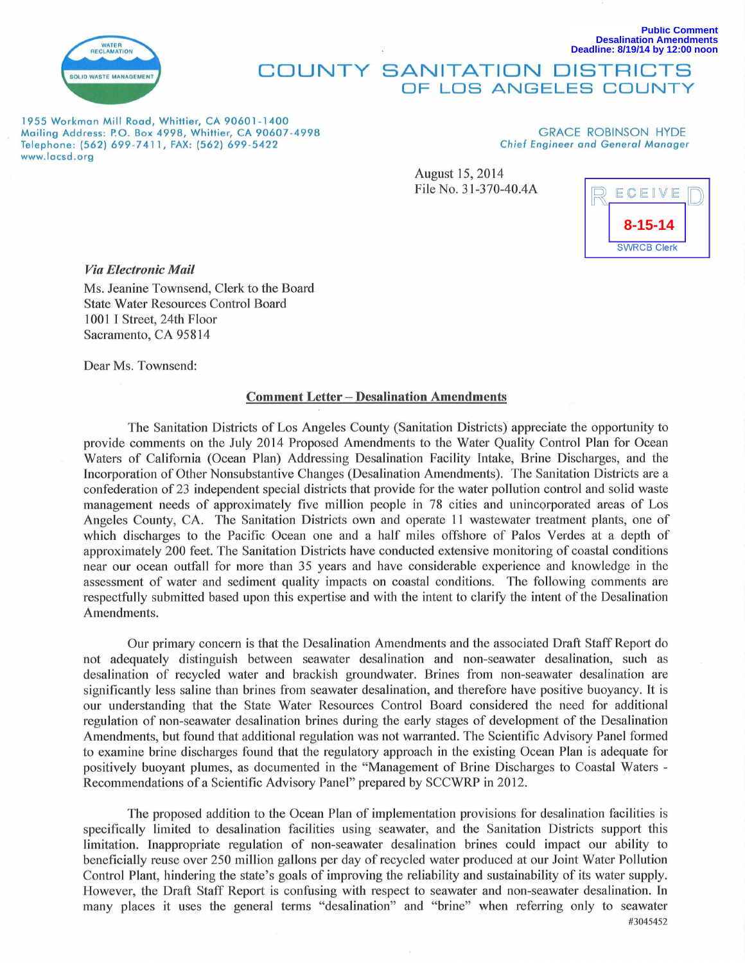

## COUNTY SANITATION DISTRICTS OF LOS ANGELES COUNTY

1955 Workman Mill Road, Whittier, CA 90601 - 1400 Mailing Address: P.O. Box 4998, Whittier, CA 90607-4998 Telephone: (562) 699-7411, FAX: (562) 699-5422 www.lacsd .org

## GRACE ROBINSON HYDE Chief Engineer and General Manager

August 15,2014 File No. 31-370-40.4A



**Public Comment**

**Desalination Amendments Deadline: 8/19/14 by 12:00 noon**

*Via Electronic Mail* 

Ms. Jeanine Townsend, Clerk to the Board State Water Resources Control Board 1001 I Street, 24th Floor Sacramento, CA 95814

Dear Ms. Townsend:

## Comment Letter- Desalination Amendments

The Sanitation Districts of Los Angeles County (Sanitation Districts) appreciate the opportunity to provide comments on the July 2014 Proposed Amendments to the Water Quality Control Plan for Ocean Waters of California (Ocean Plan) Addressing Desalination Facility Intake, Brine Discharges, and the Incorporation of Other Nonsubstantive Changes (Desalination Amendments). The Sanitation Districts are a confederation of 23 independent special districts that provide for the water pollution control and solid waste management needs of approximately five million people in 78 cities and unincorporated areas of Los Angeles County, CA. The Sanitation Districts own and operate 11 wastewater treatment plants, one of which discharges to the Pacific Ocean one and a half miles offshore of Palos Verdes at a depth of approximately 200 feet. The Sanitation Districts have conducted extensive monitoring of coastal conditions near our ocean outfall for more than 35 years and have considerable experience and knowledge in the assessment of water and sediment quality impacts on coastal conditions. The following comments are respectfully submitted based upon this expertise and with the intent to clarify the intent of the Desalination Amendments.

Our primary concern is that the Desalination Amendments and the associated Draft Staff Report do not adequately distinguish between seawater desalination and non-seawater desalination, such as desalination of recycled water and brackish groundwater. Brines from non-seawater desalination are significantly less saline than brines from seawater desalination, and therefore have positive buoyancy. It is our understanding that the State Water Resources Control Board considered the need for additional regulation of non-seawater desalination brines during the early stages of development of the Desalination Amendments, but found that additional regulation was not warranted. The Scientific Advisory Panel formed to examine brine discharges found that the regulatory approach in the existing Ocean Plan is adequate for positively buoyant plumes, as documented in the "Management of Brine Discharges to Coastal Waters - Recommendations of a Scientific Advisory Panel" prepared by SCCWRP in 2012.

The proposed addition to the Ocean Plan of implementation provisions for desalination facilities is specifically limited to desalination facilities using seawater, and the Sanitation Districts support this limitation. Inappropriate regulation of non-seawater desalination brines could impact our ability to beneficially reuse over 250 million gallons per day of recycled water produced at our Joint Water Pollution Control Plant, hindering the state's goals of improving the reliability and sustainability of its water supply. However, the Draft Staff Report is confusing with respect to seawater and non-seawater desalination. In many places it uses the general terms "desalination" and "brine" when referring only to seawater #3045452